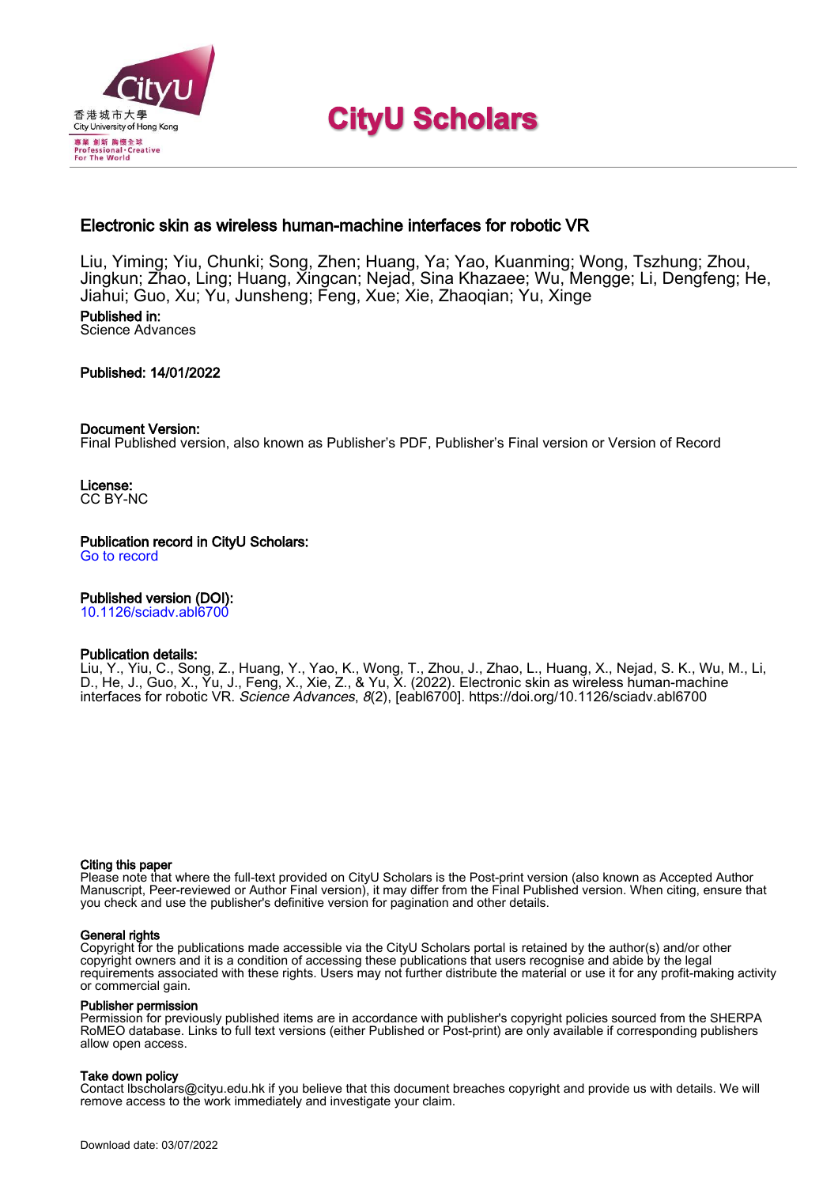

# **CityU Scholars**

# Electronic skin as wireless human-machine interfaces for robotic VR

Liu, Yiming; Yiu, Chunki; Song, Zhen; Huang, Ya; Yao, Kuanming; Wong, Tszhung; Zhou, Jingkun; Zhao, Ling; Huang, Xingcan; Nejad, Sina Khazaee; Wu, Mengge; Li, Dengfeng; He, Jiahui; Guo, Xu; Yu, Junsheng; Feng, Xue; Xie, Zhaoqian; Yu, Xinge

#### Published in: Science Advances

# Published: 14/01/2022

# Document Version:

Final Published version, also known as Publisher's PDF, Publisher's Final version or Version of Record

License: CC BY-NC

Publication record in CityU Scholars: [Go to record](https://scholars.cityu.edu.hk/en/publications/electronic-skin-as-wireless-humanmachine-interfaces-for-robotic-vr(31f6ecb8-c46e-47b8-9557-f6f9eae6596d).html)

# Published version (DOI):

[10.1126/sciadv.abl6700](https://doi.org/10.1126/sciadv.abl6700)

# Publication details:

[Liu, Y.](https://scholars.cityu.edu.hk/en/persons/yiming-liu(c7c85b8c-4813-4062-a393-7639b8b1510e).html)[, Yiu, C.,](https://scholars.cityu.edu.hk/en/persons/chun-ki-yiu(aaaf8924-5a9b-4903-b267-f84b56dd8916).html) Song, Z., Huang, Y[., Yao, K.](https://scholars.cityu.edu.hk/en/persons/kuanming-yao(63bd0347-2998-49ca-b0ce-f10fd2357c22).html)[, Wong, T.](https://scholars.cityu.edu.hk/en/persons/tsz-hung-wong(157f72e0-6dcc-43d9-b379-f5dc550dcbf7).html)[, Zhou, J.](https://scholars.cityu.edu.hk/en/persons/jingkun-zhou(1d741efd-1bd4-481c-abe2-824c8280790d).html)[, Zhao, L.](https://scholars.cityu.edu.hk/en/persons/ling-zhao(54120798-81fd-4220-bfe8-d0a4003b8c65).html)[, Huang, X.](https://scholars.cityu.edu.hk/en/persons/xingcan-huang(fac3ffd6-b39c-444a-a829-1fa6fe0833e7).html), Nejad, S. K., Wu, M[., Li,](https://scholars.cityu.edu.hk/en/persons/dengfeng-li(1ed1fdef-46ff-4819-aee8-f3ef4b49c0bb).html) [D.](https://scholars.cityu.edu.hk/en/persons/dengfeng-li(1ed1fdef-46ff-4819-aee8-f3ef4b49c0bb).html)[, He, J.,](https://scholars.cityu.edu.hk/en/persons/jiahui-he(e04da6dc-cf6f-45f2-b29b-70e4b5dce802).html) Guo, X., Yu, J., Feng, X., Xie, Z.[, & Yu, X.](https://scholars.cityu.edu.hk/en/persons/xinge-yu(d86c8c97-037f-48c5-ac76-f9cc7c5a6566).html) (2022). [Electronic skin as wireless human-machine](https://scholars.cityu.edu.hk/en/publications/electronic-skin-as-wireless-humanmachine-interfaces-for-robotic-vr(31f6ecb8-c46e-47b8-9557-f6f9eae6596d).html) [interfaces for robotic VR](https://scholars.cityu.edu.hk/en/publications/electronic-skin-as-wireless-humanmachine-interfaces-for-robotic-vr(31f6ecb8-c46e-47b8-9557-f6f9eae6596d).html). [Science Advances](https://scholars.cityu.edu.hk/en/journals/science-advances(22bb43c9-1767-4ba5-a872-d7f43cc962c4)/publications.html), 8(2), [eabl6700].<https://doi.org/10.1126/sciadv.abl6700>

#### Citing this paper

Please note that where the full-text provided on CityU Scholars is the Post-print version (also known as Accepted Author Manuscript, Peer-reviewed or Author Final version), it may differ from the Final Published version. When citing, ensure that you check and use the publisher's definitive version for pagination and other details.

#### General rights

Copyright for the publications made accessible via the CityU Scholars portal is retained by the author(s) and/or other copyright owners and it is a condition of accessing these publications that users recognise and abide by the legal requirements associated with these rights. Users may not further distribute the material or use it for any profit-making activity or commercial gain.

#### Publisher permission

Permission for previously published items are in accordance with publisher's copyright policies sourced from the SHERPA RoMEO database. Links to full text versions (either Published or Post-print) are only available if corresponding publishers allow open access.

#### Take down policy

Contact lbscholars@cityu.edu.hk if you believe that this document breaches copyright and provide us with details. We will remove access to the work immediately and investigate your claim.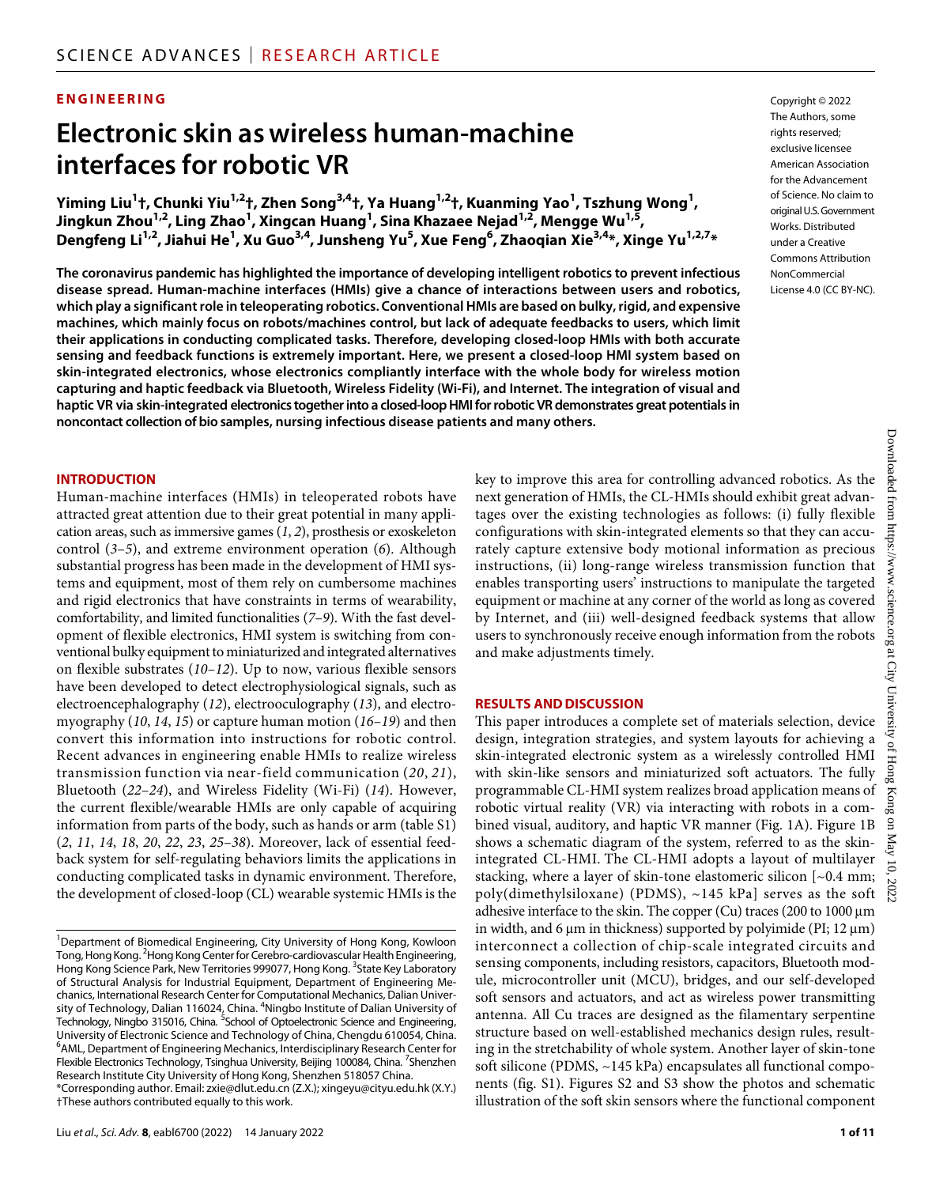## **ENGINEERING**

# **Electronic skin as wireless human-machine interfaces forrobotic VR**

**Yiming Liu1 †, Chunki Yiu1,2 †, Zhen Song3,4 †, Ya Huang1,2 †, Kuanming Yao1 , Tszhung Wong1 , Jingkun Zhou1,2 , Ling Zhao1 , Xingcan Huang1 , Sina Khazaee Nejad1,2 , Mengge Wu1,5 , Dengfeng Li1,2 , Jiahui He1 , Xu Guo3,4 , Junsheng Yu5 , Xue Feng6 , Zhaoqian Xie3,4 \*, Xinge Yu1,2,7 \***

**The coronavirus pandemic has highlighted the importance of developing intelligent robotics to prevent infectious disease spread. Human-machine interfaces (HMIs) give a chance of interactions between users and robotics, which play a significant role in teleoperating robotics. Conventional HMIs are based on bulky, rigid, and expensive machines, which mainly focus on robots/machines control, but lack of adequate feedbacks to users, which limit their applications in conducting complicated tasks. Therefore, developing closed-loop HMIs with both accurate sensing and feedback functions is extremely important. Here, we present a closed-loop HMI system based on skin-integrated electronics, whose electronics compliantly interface with the whole body for wireless motion capturing and haptic feedback via Bluetooth, Wireless Fidelity (Wi-Fi), and Internet. The integration of visual and haptic VR via skin-integrated electronics together into a closed-loop HMI for robotic VR demonstrates great potentials in noncontact collection of bio samples, nursing infectious disease patients and many others.**

#### **INTRODUCTION**

Human-machine interfaces (HMIs) in teleoperated robots have attracted great attention due to their great potential in many application areas, such as immersive games (*1*, *2*), prosthesis or exoskeleton control (*3*–*5*), and extreme environment operation (*6*). Although substantial progress has been made in the development of HMI systems and equipment, most of them rely on cumbersome machines and rigid electronics that have constraints in terms of wearability, comfortability, and limited functionalities (*7*–*9*). With the fast development of flexible electronics, HMI system is switching from conventional bulky equipment to miniaturized and integrated alternatives on flexible substrates (*10*–*12*). Up to now, various flexible sensors have been developed to detect electrophysiological signals, such as electroencephalography (*12*), electrooculography (*13*), and electromyography (*10*, *14*, *15*) or capture human motion (*16*–*19*) and then convert this information into instructions for robotic control. Recent advances in engineering enable HMIs to realize wireless transmission function via near-field communication (*20*, *21*), Bluetooth (*22*–*24*), and Wireless Fidelity (Wi-Fi) (*14*). However, the current flexible/wearable HMIs are only capable of acquiring information from parts of the body, such as hands or arm (table S1) (*2*, *11*, *14*, *18*, *20*, *22*, *23*, *25*–*38*). Moreover, lack of essential feedback system for self-regulating behaviors limits the applications in conducting complicated tasks in dynamic environment. Therefore, the development of closed-loop (CL) wearable systemic HMIs is the

\*Corresponding author. Email: [zxie@dlut.edu.cn](mailto:zxie@dlut.edu.cn) (Z.X.); [xingeyu@cityu.edu.hk](mailto:xingeyu@cityu.edu.hk) (X.Y.) †These authors contributed equally to this work.

Downloaded from https://www.science.org at City University of Hong Kong Downloaded from https://www.science.org at City University of Hong Kong on May 10, 2022key to improve this area for controlling advanced robotics. As the next generation of HMIs, the CL-HMIs should exhibit great advantages over the existing technologies as follows: (i) fully flexible configurations with skin-integrated elements so that they can accurately capture extensive body motional information as precious instructions, (ii) long-range wireless transmission function that enables transporting users' instructions to manipulate the targeted equipment or machine at any corner of the world as long as covered by Internet, and (iii) well-designed feedback systems that allow users to synchronously receive enough information from the robots and make adjustments timely.

#### **RESULTS AND DISCUSSION**

This paper introduces a complete set of materials selection, device design, integration strategies, and system layouts for achieving a skin-integrated electronic system as a wirelessly controlled HMI with skin-like sensors and miniaturized soft actuators. The fully programmable CL-HMI system realizes broad application means of robotic virtual reality (VR) via interacting with robots in a combined visual, auditory, and haptic VR manner (Fig. 1A). Figure 1B shows a schematic diagram of the system, referred to as the skinintegrated CL-HMI. The CL-HMI adopts a layout of multilayer stacking, where a layer of skin-tone elastomeric silicon [~0.4 mm; poly(dimethylsiloxane) (PDMS), ~145 kPa] serves as the soft adhesive interface to the skin. The copper (Cu) traces (200 to 1000 µm in width, and 6  $\mu$ m in thickness) supported by polyimide (PI; 12  $\mu$ m) interconnect a collection of chip-scale integrated circuits and sensing components, including resistors, capacitors, Bluetooth module, microcontroller unit (MCU), bridges, and our self-developed soft sensors and actuators, and act as wireless power transmitting antenna. All Cu traces are designed as the filamentary serpentine structure based on well-established mechanics design rules, resulting in the stretchability of whole system. Another layer of skin-tone soft silicone (PDMS, ~145 kPa) encapsulates all functional components (fig. S1). Figures S2 and S3 show the photos and schematic illustration of the soft skin sensors where the functional component

Copyright © 2022

 $\mathfrak{g}$ May 10,

2022

<sup>&</sup>lt;sup>1</sup>Department of Biomedical Engineering, City University of Hong Kong, Kowloon Tong, Hong Kong. <sup>2</sup> Hong Kong Center for Cerebro-cardiovascular Health Engineering, Hong Kong Science Park, New Territories 999077, Hong Kong. <sup>3</sup>State Key Laboratory of Structural Analysis for Industrial Equipment, Department of Engineering Mechanics, International Research Center for Computational Mechanics, Dalian University of Technology, Dalian 116024, China.  $^4$ Ningbo Institute of Dalian University of Technology, Ningbo 315016, China. <sup>5</sup>School of Optoelectronic Science and Engineering, University of Electronic Science and Technology of China, Chengdu 610054, China. <sup>6</sup>AML, Department of Engineering Mechanics, Interdisciplinary Research Center for Flexible Electronics Technology, Tsinghua University, Beijing 100084, China. <sup>7</sup>Shenzhen Research Institute City University of Hong Kong, Shenzhen 518057 China.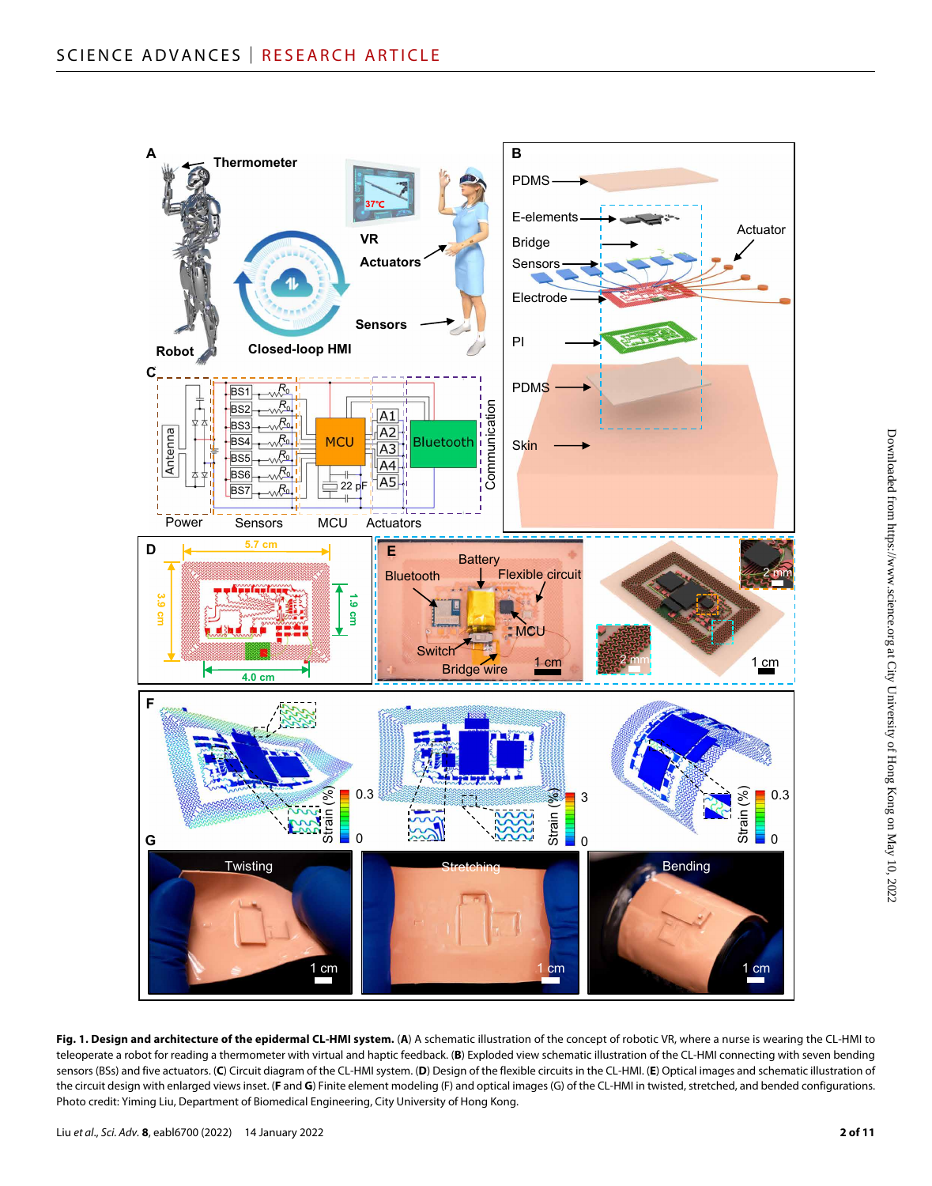

**Fig. 1. Design and architecture of the epidermal CL-HMI system.** (**A**) A schematic illustration of the concept of robotic VR, where a nurse is wearing the CL-HMI to teleoperate a robot for reading a thermometer with virtual and haptic feedback. (**B**) Exploded view schematic illustration of the CL-HMI connecting with seven bending sensors (BSs) and five actuators. (**C**) Circuit diagram of the CL-HMI system. (**D**) Design of the flexible circuits in the CL-HMI. (**E**) Optical images and schematic illustration of the circuit design with enlarged views inset. (**F** and **G**) Finite element modeling (F) and optical images (G) of the CL-HMI in twisted, stretched, and bended configurations. Photo credit: Yiming Liu, Department of Biomedical Engineering, City University of Hong Kong.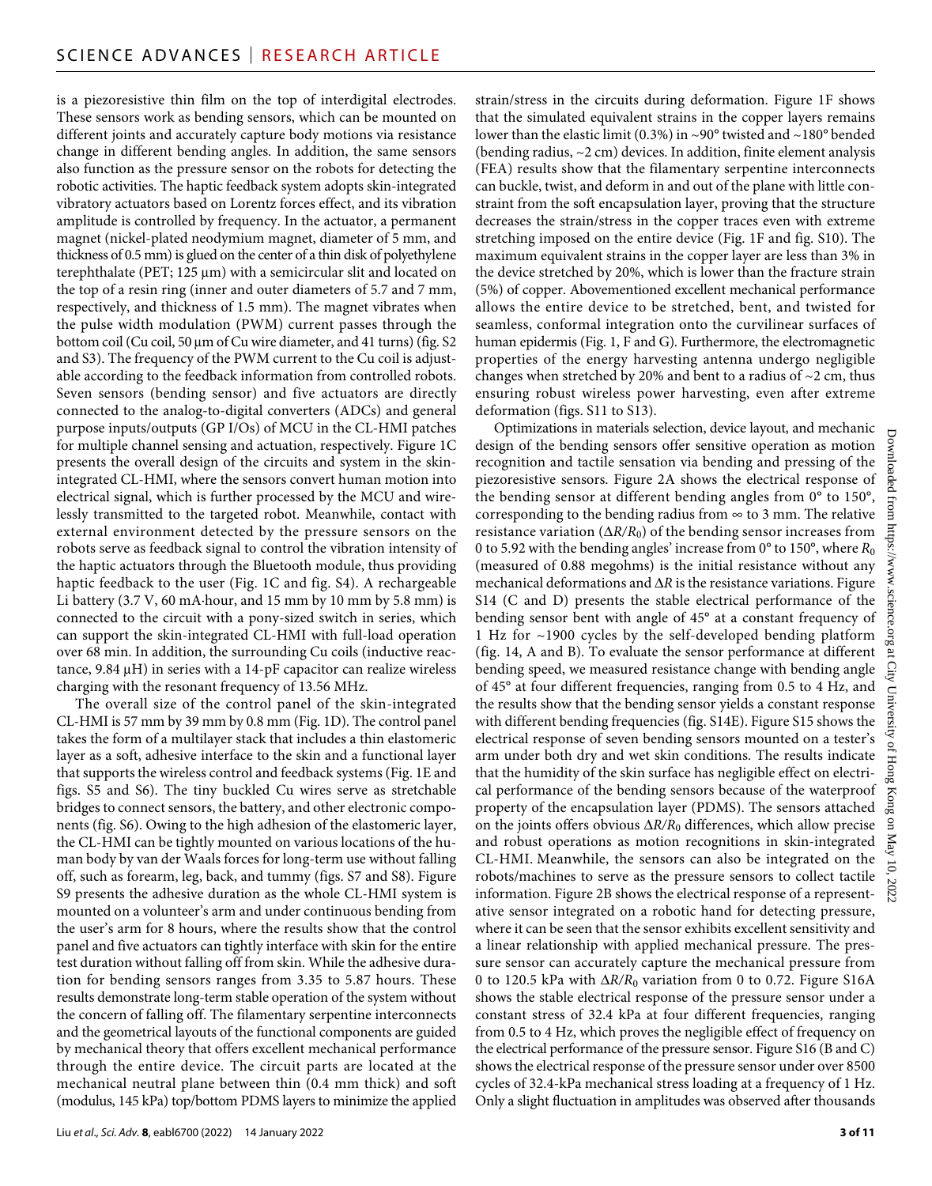is a piezoresistive thin film on the top of interdigital electrodes. These sensors work as bending sensors, which can be mounted on different joints and accurately capture body motions via resistance change in different bending angles. In addition, the same sensors also function as the pressure sensor on the robots for detecting the robotic activities. The haptic feedback system adopts skin-integrated vibratory actuators based on Lorentz forces effect, and its vibration amplitude is controlled by frequency. In the actuator, a permanent magnet (nickel-plated neodymium magnet, diameter of 5 mm, and thickness of 0.5 mm) is glued on the center of a thin disk of polyethylene terephthalate (PET;  $125 \mu m$ ) with a semicircular slit and located on the top of a resin ring (inner and outer diameters of 5.7 and 7 mm, respectively, and thickness of 1.5 mm). The magnet vibrates when the pulse width modulation (PWM) current passes through the bottom coil (Cu coil, 50 μm of Cu wire diameter, and 41 turns) (fig. S2 and S3). The frequency of the PWM current to the Cu coil is adjustable according to the feedback information from controlled robots. Seven sensors (bending sensor) and five actuators are directly connected to the analog-to-digital converters (ADCs) and general purpose inputs/outputs (GP I/Os) of MCU in the CL-HMI patches for multiple channel sensing and actuation, respectively. Figure 1C presents the overall design of the circuits and system in the skinintegrated CL-HMI, where the sensors convert human motion into electrical signal, which is further processed by the MCU and wirelessly transmitted to the targeted robot. Meanwhile, contact with external environment detected by the pressure sensors on the robots serve as feedback signal to control the vibration intensity of the haptic actuators through the Bluetooth module, thus providing haptic feedback to the user (Fig. 1C and fig. S4). A rechargeable Li battery (3.7 V, 60 mA·hour, and 15 mm by 10 mm by 5.8 mm) is connected to the circuit with a pony-sized switch in series, which can support the skin-integrated CL-HMI with full-load operation over 68 min. In addition, the surrounding Cu coils (inductive reactance,  $9.84 \mu H$ ) in series with a 14-pF capacitor can realize wireless charging with the resonant frequency of 13.56 MHz.

The overall size of the control panel of the skin-integrated CL-HMI is 57 mm by 39 mm by 0.8 mm (Fig. 1D). The control panel takes the form of a multilayer stack that includes a thin elastomeric layer as a soft, adhesive interface to the skin and a functional layer that supports the wireless control and feedback systems (Fig. 1E and figs. S5 and S6). The tiny buckled Cu wires serve as stretchable bridges to connect sensors, the battery, and other electronic components (fig. S6). Owing to the high adhesion of the elastomeric layer, the CL-HMI can be tightly mounted on various locations of the human body by van der Waals forces for long-term use without falling off, such as forearm, leg, back, and tummy (figs. S7 and S8). Figure S9 presents the adhesive duration as the whole CL-HMI system is mounted on a volunteer's arm and under continuous bending from the user's arm for 8 hours, where the results show that the control panel and five actuators can tightly interface with skin for the entire test duration without falling off from skin. While the adhesive duration for bending sensors ranges from 3.35 to 5.87 hours. These results demonstrate long-term stable operation of the system without the concern of falling off. The filamentary serpentine interconnects and the geometrical layouts of the functional components are guided by mechanical theory that offers excellent mechanical performance through the entire device. The circuit parts are located at the mechanical neutral plane between thin (0.4 mm thick) and soft (modulus, 145 kPa) top/bottom PDMS layers to minimize the applied

strain/stress in the circuits during deformation. Figure 1F shows that the simulated equivalent strains in the copper layers remains lower than the elastic limit (0.3%) in ~90° twisted and ~180° bended (bending radius, ~2 cm) devices. In addition, finite element analysis (FEA) results show that the filamentary serpentine interconnects can buckle, twist, and deform in and out of the plane with little constraint from the soft encapsulation layer, proving that the structure decreases the strain/stress in the copper traces even with extreme stretching imposed on the entire device (Fig. 1F and fig. S10). The maximum equivalent strains in the copper layer are less than 3% in the device stretched by 20%, which is lower than the fracture strain (5%) of copper. Abovementioned excellent mechanical performance allows the entire device to be stretched, bent, and twisted for seamless, conformal integration onto the curvilinear surfaces of human epidermis (Fig. 1, F and G). Furthermore, the electromagnetic properties of the energy harvesting antenna undergo negligible changes when stretched by 20% and bent to a radius of  $\sim$ 2 cm, thus ensuring robust wireless power harvesting, even after extreme deformation (figs. S11 to S13).

Optimizations in materials selection, device layout, and mechanic design of the bending sensors offer sensitive operation as motion recognition and tactile sensation via bending and pressing of the piezoresistive sensors. Figure 2A shows the electrical response of the bending sensor at different bending angles from 0° to 150°, corresponding to the bending radius from  $\infty$  to 3 mm. The relative resistance variation  $(\Delta R/R_0)$  of the bending sensor increases from 0 to 5.92 with the bending angles' increase from 0° to 150°, where *R*<sup>0</sup> (measured of 0.88 megohms) is the initial resistance without any mechanical deformations and  $\Delta R$  is the resistance variations. Figure S14 (C and D) presents the stable electrical performance of the bending sensor bent with angle of 45° at a constant frequency of 1 Hz for ~1900 cycles by the self-developed bending platform (fig. 14, A and B). To evaluate the sensor performance at different bending speed, we measured resistance change with bending angle of 45° at four different frequencies, ranging from 0.5 to 4 Hz, and the results show that the bending sensor yields a constant response with different bending frequencies (fig. S14E). Figure S15 shows the electrical response of seven bending sensors mounted on a tester's arm under both dry and wet skin conditions. The results indicate that the humidity of the skin surface has negligible effect on electrical performance of the bending sensors because of the waterproof property of the encapsulation layer (PDMS). The sensors attached on the joints offers obvious  $\Delta R/R_0$  differences, which allow precise and robust operations as motion recognitions in skin-integrated CL-HMI. Meanwhile, the sensors can also be integrated on the robots/machines to serve as the pressure sensors to collect tactile information. Figure 2B shows the electrical response of a representative sensor integrated on a robotic hand for detecting pressure, where it can be seen that the sensor exhibits excellent sensitivity and a linear relationship with applied mechanical pressure. The pressure sensor can accurately capture the mechanical pressure from 0 to 120.5 kPa with  $\Delta R/R_0$  variation from 0 to 0.72. Figure S16A shows the stable electrical response of the pressure sensor under a constant stress of 32.4 kPa at four different frequencies, ranging from 0.5 to 4 Hz, which proves the negligible effect of frequency on the electrical performance of the pressure sensor. Figure S16 (B and C) shows the electrical response of the pressure sensor under over 8500 cycles of 32.4-kPa mechanical stress loading at a frequency of 1 Hz. Only a slight fluctuation in amplitudes was observed after thousands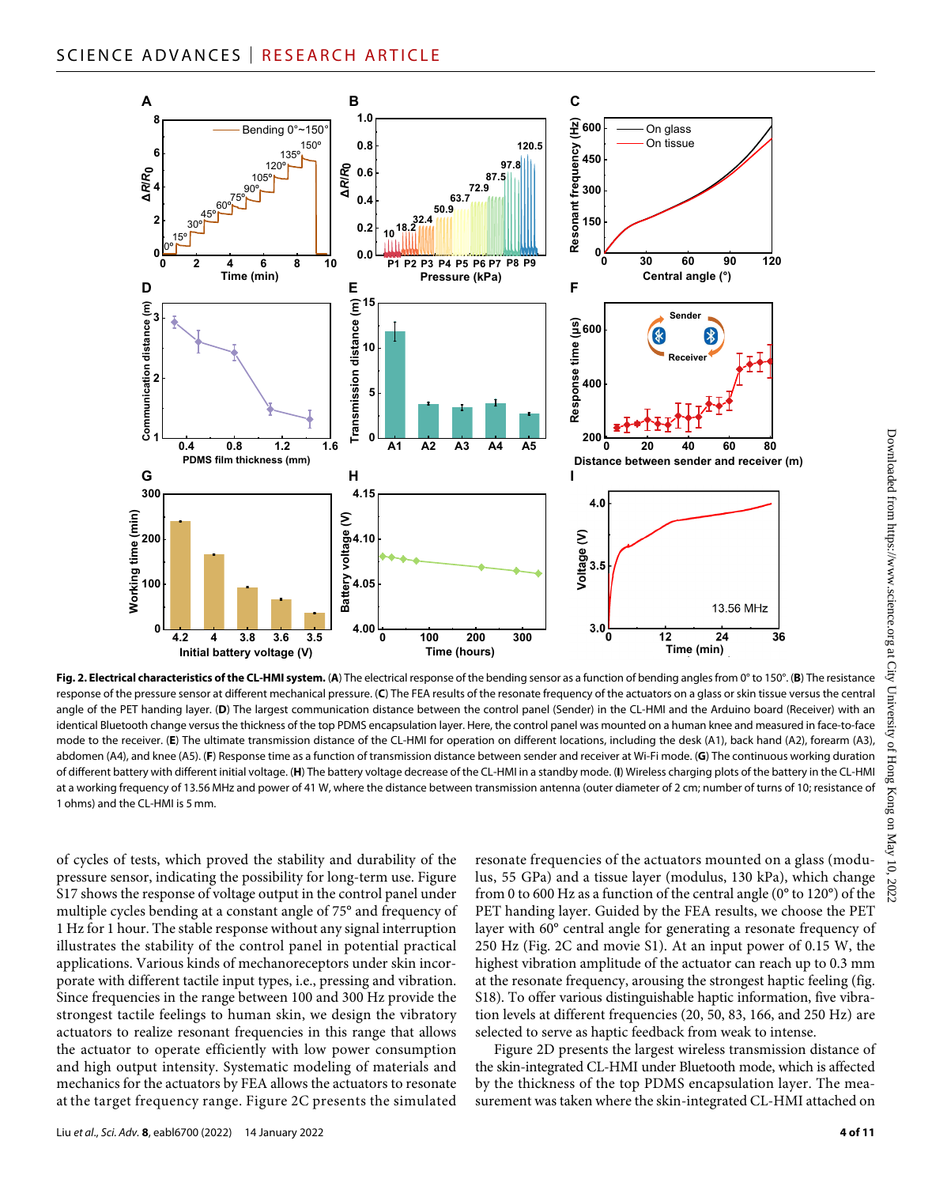

**Fig. 2. Electrical characteristics of the CL-HMI system.** (**A**) The electrical response of the bending sensor as a function of bending angles from 0° to 150°. (**B**) The resistance response of the pressure sensor at different mechanical pressure. (**C**) The FEA results of the resonate frequency of the actuators on a glass or skin tissue versus the central angle of the PET handing layer. (D) The largest communication distance between the control panel (Sender) in the CL-HMI and the Arduino board (Receiver) with an identical Bluetooth change versus the thickness of the top PDMS encapsulation layer. Here, the control panel was mounted on a human knee and measured in face-to-face mode to the receiver. (**E**) The ultimate transmission distance of the CL-HMI for operation on different locations, including the desk (A1), back hand (A2), forearm (A3), abdomen (A4), and knee (A5). (**F**) Response time as a function of transmission distance between sender and receiver at Wi-Fi mode. (**G**) The continuous working duration of different battery with different initial voltage. (**H**) The battery voltage decrease of the CL-HMI in a standby mode. (**I**) Wireless charging plots of the battery in the CL-HMI at a working frequency of 13.56 MHz and power of 41 W, where the distance between transmission antenna (outer diameter of 2 cm; number of turns of 10; resistance of 1 ohms) and the CL-HMI is 5 mm.

of cycles of tests, which proved the stability and durability of the pressure sensor, indicating the possibility for long-term use. Figure S17 shows the response of voltage output in the control panel under multiple cycles bending at a constant angle of 75° and frequency of 1 Hz for 1 hour. The stable response without any signal interruption illustrates the stability of the control panel in potential practical applications. Various kinds of mechanoreceptors under skin incorporate with different tactile input types, i.e., pressing and vibration. Since frequencies in the range between 100 and 300 Hz provide the strongest tactile feelings to human skin, we design the vibratory actuators to realize resonant frequencies in this range that allows the actuator to operate efficiently with low power consumption and high output intensity. Systematic modeling of materials and mechanics for the actuators by FEA allows the actuators to resonate at the target frequency range. Figure 2C presents the simulated

Liu *et al*., *Sci. Adv.* **8**, eabl6700 (2022) 14 January 2022

resonate frequencies of the actuators mounted on a glass (modulus, 55 GPa) and a tissue layer (modulus, 130 kPa), which change from 0 to 600 Hz as a function of the central angle (0° to 120°) of the PET handing layer. Guided by the FEA results, we choose the PET layer with 60° central angle for generating a resonate frequency of 250 Hz (Fig. 2C and movie S1). At an input power of 0.15 W, the highest vibration amplitude of the actuator can reach up to 0.3 mm at the resonate frequency, arousing the strongest haptic feeling (fig. S18). To offer various distinguishable haptic information, five vibration levels at different frequencies (20, 50, 83, 166, and 250 Hz) are selected to serve as haptic feedback from weak to intense.

Figure 2D presents the largest wireless transmission distance of the skin-integrated CL-HMI under Bluetooth mode, which is affected by the thickness of the top PDMS encapsulation layer. The measurement was taken where the skin-integrated CL-HMI attached on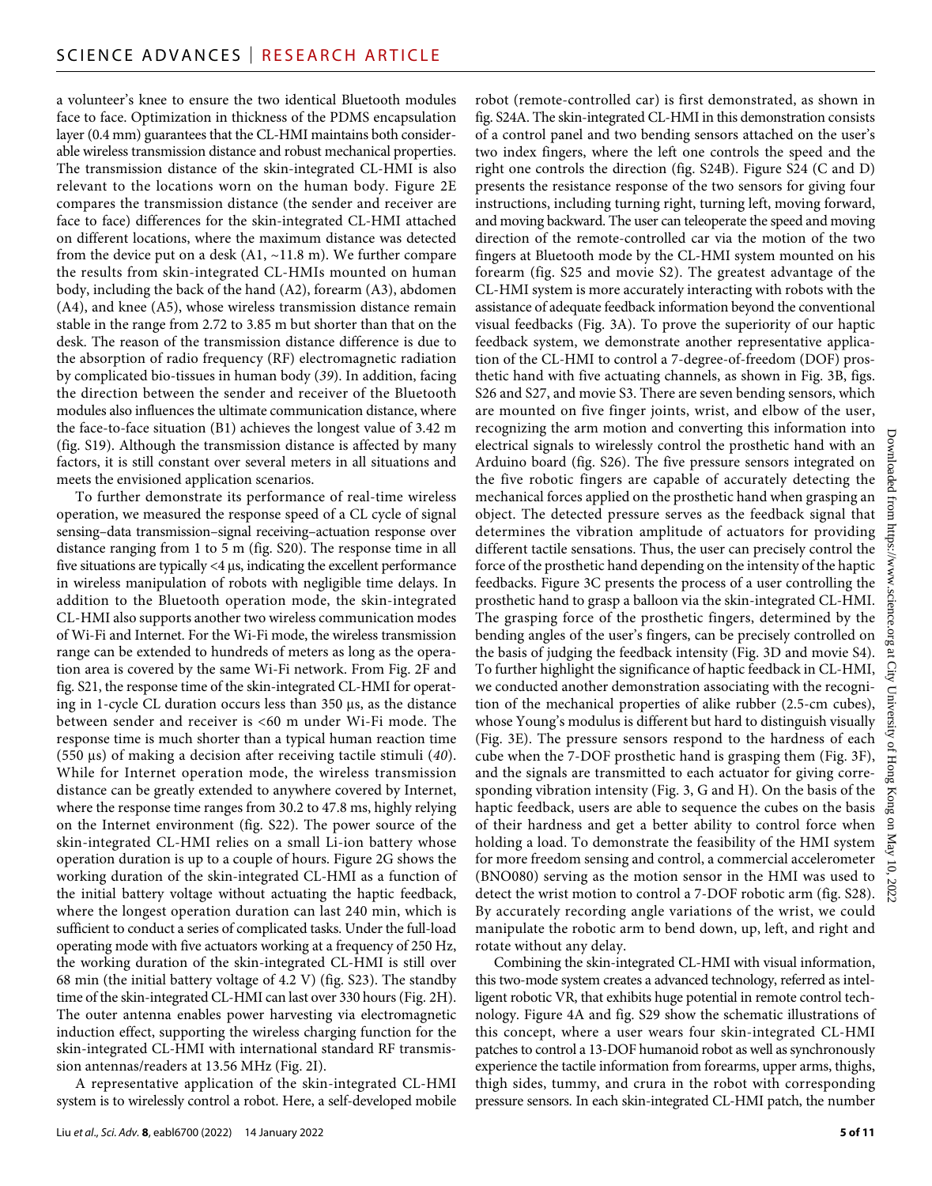a volunteer's knee to ensure the two identical Bluetooth modules face to face. Optimization in thickness of the PDMS encapsulation layer (0.4 mm) guarantees that the CL-HMI maintains both considerable wireless transmission distance and robust mechanical properties. The transmission distance of the skin-integrated CL-HMI is also relevant to the locations worn on the human body. Figure 2E compares the transmission distance (the sender and receiver are face to face) differences for the skin-integrated CL-HMI attached on different locations, where the maximum distance was detected from the device put on a desk (A1, ~11.8 m). We further compare the results from skin-integrated CL-HMIs mounted on human body, including the back of the hand (A2), forearm (A3), abdomen (A4), and knee (A5), whose wireless transmission distance remain stable in the range from 2.72 to 3.85 m but shorter than that on the desk. The reason of the transmission distance difference is due to the absorption of radio frequency (RF) electromagnetic radiation by complicated bio-tissues in human body (*39*). In addition, facing the direction between the sender and receiver of the Bluetooth modules also influences the ultimate communication distance, where the face-to-face situation (B1) achieves the longest value of 3.42 m (fig. S19). Although the transmission distance is affected by many factors, it is still constant over several meters in all situations and meets the envisioned application scenarios.

To further demonstrate its performance of real-time wireless operation, we measured the response speed of a CL cycle of signal sensing–data transmission–signal receiving–actuation response over distance ranging from 1 to 5 m (fig. S20). The response time in all five situations are typically  $<$ 4  $\mu$ s, indicating the excellent performance in wireless manipulation of robots with negligible time delays. In addition to the Bluetooth operation mode, the skin-integrated CL-HMI also supports another two wireless communication modes of Wi-Fi and Internet. For the Wi-Fi mode, the wireless transmission range can be extended to hundreds of meters as long as the operation area is covered by the same Wi-Fi network. From Fig. 2F and fig. S21, the response time of the skin-integrated CL-HMI for operating in 1-cycle CL duration occurs less than  $350 \,\mu s$ , as the distance between sender and receiver is <60 m under Wi-Fi mode. The response time is much shorter than a typical human reaction time (550 μs) of making a decision after receiving tactile stimuli (40). While for Internet operation mode, the wireless transmission distance can be greatly extended to anywhere covered by Internet, where the response time ranges from 30.2 to 47.8 ms, highly relying on the Internet environment (fig. S22). The power source of the skin-integrated CL-HMI relies on a small Li-ion battery whose operation duration is up to a couple of hours. Figure 2G shows the working duration of the skin-integrated CL-HMI as a function of the initial battery voltage without actuating the haptic feedback, where the longest operation duration can last 240 min, which is sufficient to conduct a series of complicated tasks. Under the full-load operating mode with five actuators working at a frequency of 250 Hz, the working duration of the skin-integrated CL-HMI is still over 68 min (the initial battery voltage of 4.2 V) (fig. S23). The standby time of the skin-integrated CL-HMI can last over 330 hours (Fig. 2H). The outer antenna enables power harvesting via electromagnetic induction effect, supporting the wireless charging function for the skin-integrated CL-HMI with international standard RF transmission antennas/readers at 13.56 MHz (Fig. 2I).

A representative application of the skin-integrated CL-HMI system is to wirelessly control a robot. Here, a self-developed mobile robot (remote-controlled car) is first demonstrated, as shown in fig. S24A. The skin-integrated CL-HMI in this demonstration consists of a control panel and two bending sensors attached on the user's two index fingers, where the left one controls the speed and the right one controls the direction (fig. S24B). Figure S24 (C and D) presents the resistance response of the two sensors for giving four instructions, including turning right, turning left, moving forward, and moving backward. The user can teleoperate the speed and moving direction of the remote-controlled car via the motion of the two fingers at Bluetooth mode by the CL-HMI system mounted on his forearm (fig. S25 and movie S2). The greatest advantage of the CL-HMI system is more accurately interacting with robots with the assistance of adequate feedback information beyond the conventional visual feedbacks (Fig. 3A). To prove the superiority of our haptic feedback system, we demonstrate another representative application of the CL-HMI to control a 7-degree-of-freedom (DOF) prosthetic hand with five actuating channels, as shown in Fig. 3B, figs. S26 and S27, and movie S3. There are seven bending sensors, which are mounted on five finger joints, wrist, and elbow of the user, recognizing the arm motion and converting this information into electrical signals to wirelessly control the prosthetic hand with an Arduino board (fig. S26). The five pressure sensors integrated on the five robotic fingers are capable of accurately detecting the mechanical forces applied on the prosthetic hand when grasping an object. The detected pressure serves as the feedback signal that determines the vibration amplitude of actuators for providing different tactile sensations. Thus, the user can precisely control the force of the prosthetic hand depending on the intensity of the haptic feedbacks. Figure 3C presents the process of a user controlling the prosthetic hand to grasp a balloon via the skin-integrated CL-HMI. The grasping force of the prosthetic fingers, determined by the bending angles of the user's fingers, can be precisely controlled on the basis of judging the feedback intensity (Fig. 3D and movie S4). To further highlight the significance of haptic feedback in CL-HMI, we conducted another demonstration associating with the recognition of the mechanical properties of alike rubber (2.5-cm cubes), whose Young's modulus is different but hard to distinguish visually (Fig. 3E). The pressure sensors respond to the hardness of each cube when the 7-DOF prosthetic hand is grasping them (Fig. 3F), and the signals are transmitted to each actuator for giving corresponding vibration intensity (Fig. 3, G and H). On the basis of the haptic feedback, users are able to sequence the cubes on the basis of their hardness and get a better ability to control force when holding a load. To demonstrate the feasibility of the HMI system for more freedom sensing and control, a commercial accelerometer (BNO080) serving as the motion sensor in the HMI was used to detect the wrist motion to control a 7-DOF robotic arm (fig. S28). By accurately recording angle variations of the wrist, we could manipulate the robotic arm to bend down, up, left, and right and rotate without any delay.

Combining the skin-integrated CL-HMI with visual information, this two-mode system creates a advanced technology, referred as intelligent robotic VR, that exhibits huge potential in remote control technology. Figure 4A and fig. S29 show the schematic illustrations of this concept, where a user wears four skin-integrated CL-HMI patches to control a 13-DOF humanoid robot as well as synchronously experience the tactile information from forearms, upper arms, thighs, thigh sides, tummy, and crura in the robot with corresponding pressure sensors. In each skin-integrated CL-HMI patch, the number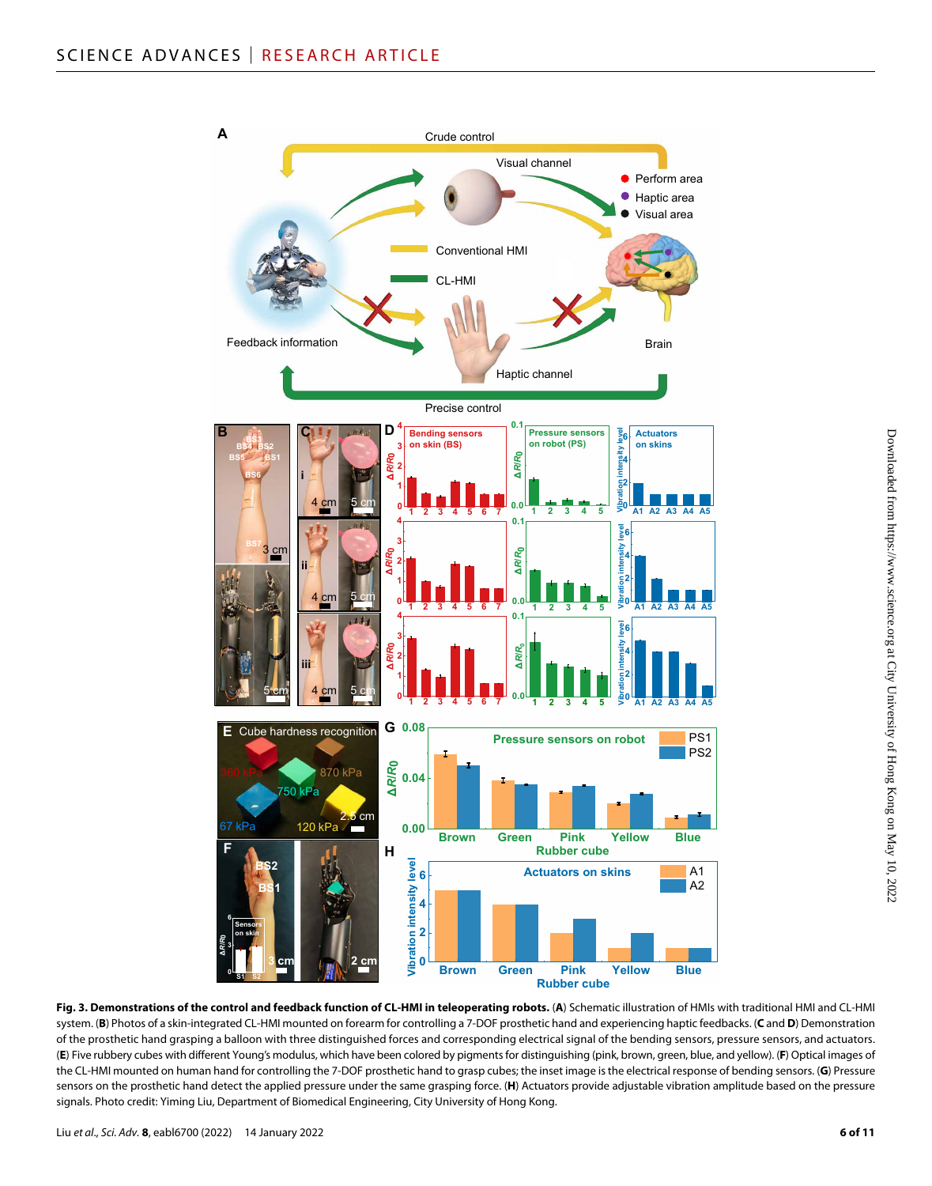

**Fig. 3. Demonstrations of the control and feedback function of CL-HMI in teleoperating robots.** (**A**) Schematic illustration of HMIs with traditional HMI and CL-HMI system. (**B**) Photos of a skin-integrated CL-HMI mounted on forearm for controlling a 7-DOF prosthetic hand and experiencing haptic feedbacks. (**C** and **D**) Demonstration of the prosthetic hand grasping a balloon with three distinguished forces and corresponding electrical signal of the bending sensors, pressure sensors, and actuators. (**E**) Five rubbery cubes with different Young's modulus, which have been colored by pigments for distinguishing (pink, brown, green, blue, and yellow). (**F**) Optical images of the CL-HMI mounted on human hand for controlling the 7-DOF prosthetic hand to grasp cubes; the inset image is the electrical response of bending sensors. (**G**) Pressure sensors on the prosthetic hand detect the applied pressure under the same grasping force. (**H**) Actuators provide adjustable vibration amplitude based on the pressure signals. Photo credit: Yiming Liu, Department of Biomedical Engineering, City University of Hong Kong.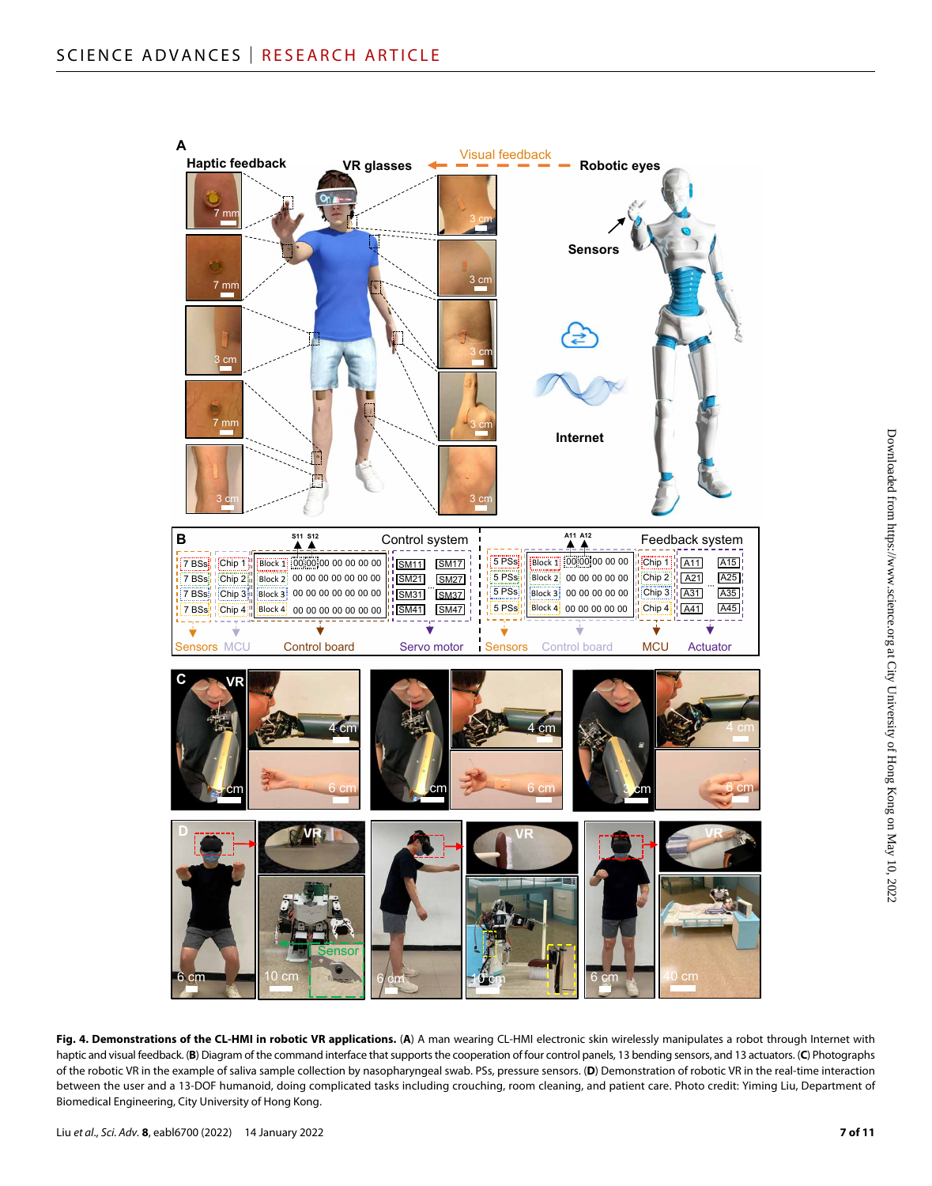

Fig. 4. Demonstrations of the CL-HMI in robotic VR applications. (A) A man wearing CL-HMI electronic skin wirelessly manipulates a robot through Internet with haptic and visual feedback. (**B**) Diagram of the command interface that supports the cooperation of four control panels, 13 bending sensors, and 13 actuators. (**C**) Photographs of the robotic VR in the example of saliva sample collection by nasopharyngeal swab. PSs, pressure sensors. (**D**) Demonstration of robotic VR in the real-time interaction between the user and a 13-DOF humanoid, doing complicated tasks including crouching, room cleaning, and patient care. Photo credit: Yiming Liu, Department of Biomedical Engineering, City University of Hong Kong.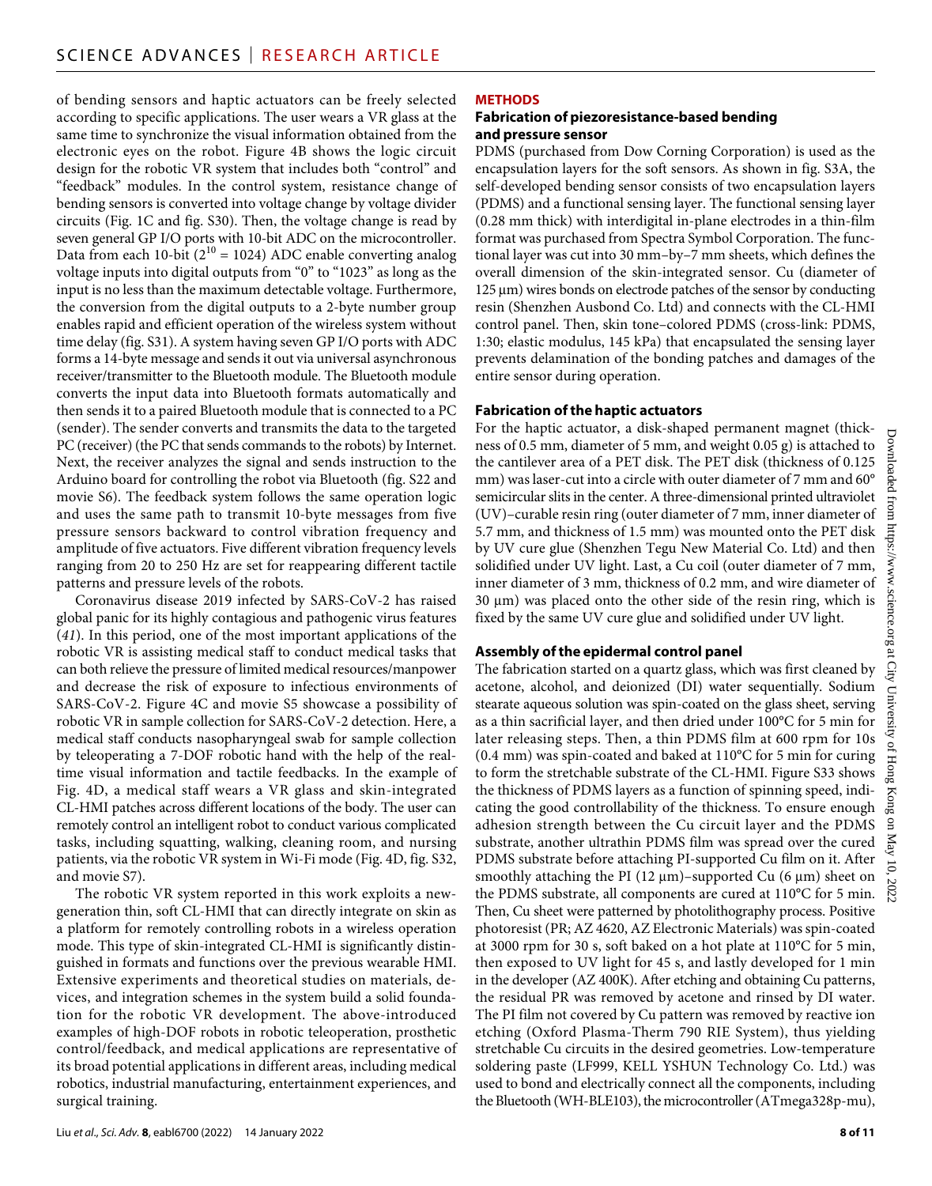of bending sensors and haptic actuators can be freely selected according to specific applications. The user wears a VR glass at the same time to synchronize the visual information obtained from the electronic eyes on the robot. Figure 4B shows the logic circuit design for the robotic VR system that includes both "control" and "feedback" modules. In the control system, resistance change of bending sensors is converted into voltage change by voltage divider circuits (Fig. 1C and fig. S30). Then, the voltage change is read by seven general GP I/O ports with 10-bit ADC on the microcontroller. Data from each 10-bit ( $2^{10}$  = 1024) ADC enable converting analog voltage inputs into digital outputs from "0" to "1023" as long as the input is no less than the maximum detectable voltage. Furthermore, the conversion from the digital outputs to a 2-byte number group enables rapid and efficient operation of the wireless system without time delay (fig. S31). A system having seven GP I/O ports with ADC forms a 14-byte message and sends it out via universal asynchronous receiver/transmitter to the Bluetooth module. The Bluetooth module converts the input data into Bluetooth formats automatically and then sends it to a paired Bluetooth module that is connected to a PC (sender). The sender converts and transmits the data to the targeted PC (receiver) (the PC that sends commands to the robots) by Internet. Next, the receiver analyzes the signal and sends instruction to the Arduino board for controlling the robot via Bluetooth (fig. S22 and movie S6). The feedback system follows the same operation logic and uses the same path to transmit 10-byte messages from five pressure sensors backward to control vibration frequency and amplitude of five actuators. Five different vibration frequency levels ranging from 20 to 250 Hz are set for reappearing different tactile patterns and pressure levels of the robots.

Coronavirus disease 2019 infected by SARS-CoV-2 has raised global panic for its highly contagious and pathogenic virus features (*41*). In this period, one of the most important applications of the robotic VR is assisting medical staff to conduct medical tasks that can both relieve the pressure of limited medical resources/manpower and decrease the risk of exposure to infectious environments of SARS-CoV-2. Figure 4C and movie S5 showcase a possibility of robotic VR in sample collection for SARS-CoV-2 detection. Here, a medical staff conducts nasopharyngeal swab for sample collection by teleoperating a 7-DOF robotic hand with the help of the realtime visual information and tactile feedbacks. In the example of Fig. 4D, a medical staff wears a VR glass and skin-integrated CL-HMI patches across different locations of the body. The user can remotely control an intelligent robot to conduct various complicated tasks, including squatting, walking, cleaning room, and nursing patients, via the robotic VR system in Wi-Fi mode (Fig. 4D, fig. S32, and movie S7).

The robotic VR system reported in this work exploits a newgeneration thin, soft CL-HMI that can directly integrate on skin as a platform for remotely controlling robots in a wireless operation mode. This type of skin-integrated CL-HMI is significantly distinguished in formats and functions over the previous wearable HMI. Extensive experiments and theoretical studies on materials, devices, and integration schemes in the system build a solid foundation for the robotic VR development. The above-introduced examples of high-DOF robots in robotic teleoperation, prosthetic control/feedback, and medical applications are representative of its broad potential applications in different areas, including medical robotics, industrial manufacturing, entertainment experiences, and surgical training.

# **METHODS**

# **Fabrication of piezoresistance-based bending and pressure sensor**

PDMS (purchased from Dow Corning Corporation) is used as the encapsulation layers for the soft sensors. As shown in fig. S3A, the self-developed bending sensor consists of two encapsulation layers (PDMS) and a functional sensing layer. The functional sensing layer (0.28 mm thick) with interdigital in-plane electrodes in a thin-film format was purchased from Spectra Symbol Corporation. The functional layer was cut into 30 mm–by–7 mm sheets, which defines the overall dimension of the skin-integrated sensor. Cu (diameter of  $125 \mu m$ ) wires bonds on electrode patches of the sensor by conducting resin (Shenzhen Ausbond Co. Ltd) and connects with the CL-HMI control panel. Then, skin tone–colored PDMS (cross-link: PDMS, 1:30; elastic modulus, 145 kPa) that encapsulated the sensing layer prevents delamination of the bonding patches and damages of the entire sensor during operation.

# **Fabrication ofthe haptic actuators**

For the haptic actuator, a disk-shaped permanent magnet (thickness of 0.5 mm, diameter of 5 mm, and weight 0.05 g) is attached to the cantilever area of a PET disk. The PET disk (thickness of 0.125 mm) was laser-cut into a circle with outer diameter of 7 mm and 60° semicircular slits in the center. A three-dimensional printed ultraviolet (UV)–curable resin ring (outer diameter of 7 mm, inner diameter of 5.7 mm, and thickness of 1.5 mm) was mounted onto the PET disk by UV cure glue (Shenzhen Tegu New Material Co. Ltd) and then solidified under UV light. Last, a Cu coil (outer diameter of 7 mm, inner diameter of 3 mm, thickness of 0.2 mm, and wire diameter of  $30 \mu m$ ) was placed onto the other side of the resin ring, which is fixed by the same UV cure glue and solidified under UV light.

# **Assembly ofthe epidermal control panel**

The fabrication started on a quartz glass, which was first cleaned by acetone, alcohol, and deionized (DI) water sequentially. Sodium stearate aqueous solution was spin-coated on the glass sheet, serving as a thin sacrificial layer, and then dried under 100°C for 5 min for later releasing steps. Then, a thin PDMS film at 600 rpm for 10s (0.4 mm) was spin-coated and baked at 110°C for 5 min for curing to form the stretchable substrate of the CL-HMI. Figure S33 shows the thickness of PDMS layers as a function of spinning speed, indicating the good controllability of the thickness. To ensure enough adhesion strength between the Cu circuit layer and the PDMS substrate, another ultrathin PDMS film was spread over the cured PDMS substrate before attaching PI-supported Cu film on it. After smoothly attaching the PI (12  $\mu$ m)–supported Cu (6  $\mu$ m) sheet on the PDMS substrate, all components are cured at 110°C for 5 min. Then, Cu sheet were patterned by photolithography process. Positive photoresist (PR; AZ 4620, AZ Electronic Materials) was spin-coated at 3000 rpm for 30 s, soft baked on a hot plate at 110°C for 5 min, then exposed to UV light for 45 s, and lastly developed for 1 min in the developer (AZ 400K). After etching and obtaining Cu patterns, the residual PR was removed by acetone and rinsed by DI water. The PI film not covered by Cu pattern was removed by reactive ion etching (Oxford Plasma-Therm 790 RIE System), thus yielding stretchable Cu circuits in the desired geometries. Low-temperature soldering paste (LF999, KELL YSHUN Technology Co. Ltd.) was used to bond and electrically connect all the components, including the Bluetooth (WH-BLE103), the microcontroller (ATmega328p-mu),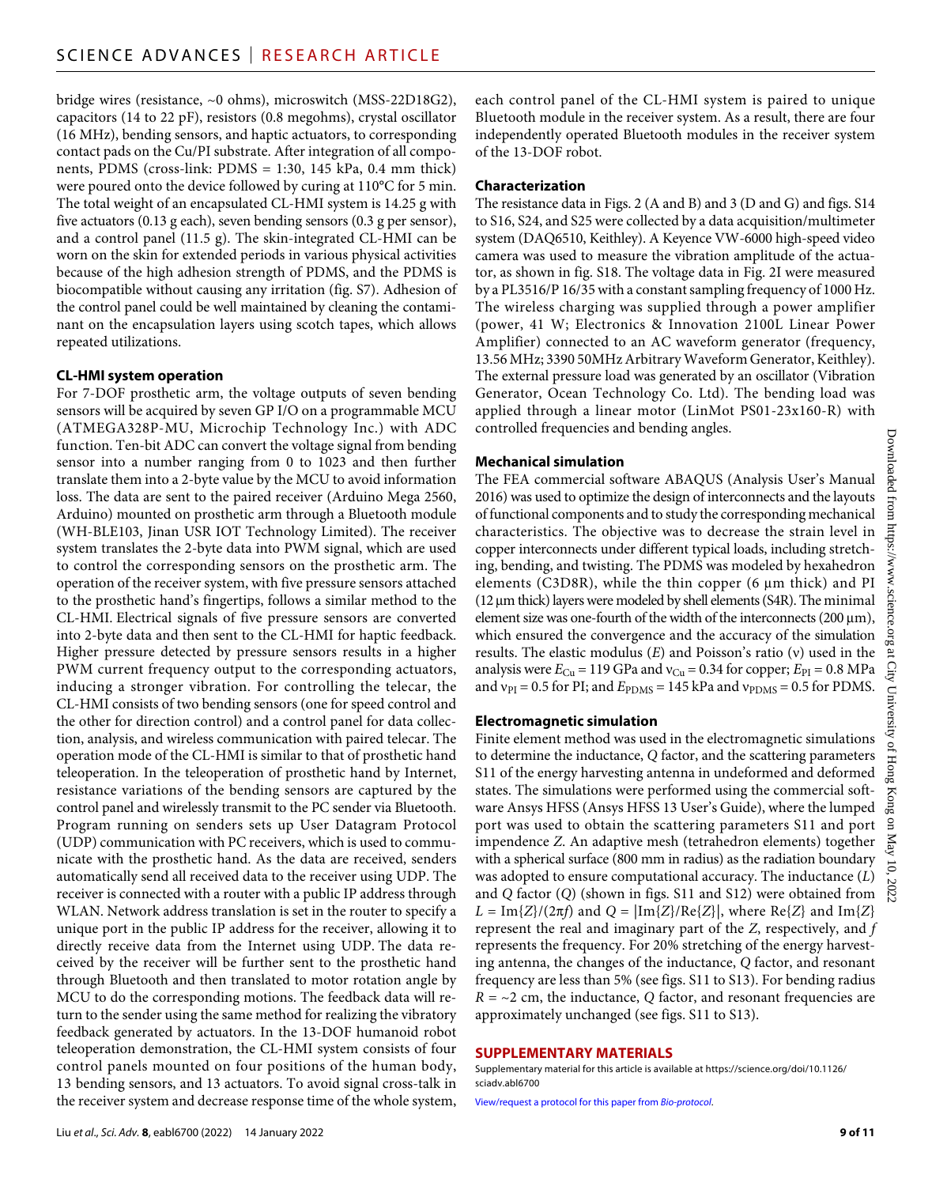bridge wires (resistance, ~0 ohms), microswitch (MSS-22D18G2), capacitors (14 to 22 pF), resistors (0.8 megohms), crystal oscillator (16 MHz), bending sensors, and haptic actuators, to corresponding contact pads on the Cu/PI substrate. After integration of all components, PDMS (cross-link: PDMS = 1:30, 145 kPa, 0.4 mm thick) were poured onto the device followed by curing at 110°C for 5 min. The total weight of an encapsulated CL-HMI system is 14.25 g with five actuators (0.13 g each), seven bending sensors (0.3 g per sensor), and a control panel (11.5 g). The skin-integrated CL-HMI can be worn on the skin for extended periods in various physical activities because of the high adhesion strength of PDMS, and the PDMS is biocompatible without causing any irritation (fig. S7). Adhesion of the control panel could be well maintained by cleaning the contaminant on the encapsulation layers using scotch tapes, which allows repeated utilizations.

## **CL-HMI system operation**

For 7-DOF prosthetic arm, the voltage outputs of seven bending sensors will be acquired by seven GP I/O on a programmable MCU (ATMEGA328P-MU, Microchip Technology Inc.) with ADC function. Ten-bit ADC can convert the voltage signal from bending sensor into a number ranging from 0 to 1023 and then further translate them into a 2-byte value by the MCU to avoid information loss. The data are sent to the paired receiver (Arduino Mega 2560, Arduino) mounted on prosthetic arm through a Bluetooth module (WH-BLE103, Jinan USR IOT Technology Limited). The receiver system translates the 2-byte data into PWM signal, which are used to control the corresponding sensors on the prosthetic arm. The operation of the receiver system, with five pressure sensors attached to the prosthetic hand's fingertips, follows a similar method to the CL-HMI. Electrical signals of five pressure sensors are converted into 2-byte data and then sent to the CL-HMI for haptic feedback. Higher pressure detected by pressure sensors results in a higher PWM current frequency output to the corresponding actuators, inducing a stronger vibration. For controlling the telecar, the CL-HMI consists of two bending sensors (one for speed control and the other for direction control) and a control panel for data collection, analysis, and wireless communication with paired telecar. The operation mode of the CL-HMI is similar to that of prosthetic hand teleoperation. In the teleoperation of prosthetic hand by Internet, resistance variations of the bending sensors are captured by the control panel and wirelessly transmit to the PC sender via Bluetooth. Program running on senders sets up User Datagram Protocol (UDP) communication with PC receivers, which is used to communicate with the prosthetic hand. As the data are received, senders automatically send all received data to the receiver using UDP. The receiver is connected with a router with a public IP address through WLAN. Network address translation is set in the router to specify a unique port in the public IP address for the receiver, allowing it to directly receive data from the Internet using UDP. The data received by the receiver will be further sent to the prosthetic hand through Bluetooth and then translated to motor rotation angle by MCU to do the corresponding motions. The feedback data will return to the sender using the same method for realizing the vibratory feedback generated by actuators. In the 13-DOF humanoid robot teleoperation demonstration, the CL-HMI system consists of four control panels mounted on four positions of the human body, 13 bending sensors, and 13 actuators. To avoid signal cross-talk in the receiver system and decrease response time of the whole system,

Liu *et al*., *Sci. Adv.* **8**, eabl6700 (2022) 14 January 2022

each control panel of the CL-HMI system is paired to unique Bluetooth module in the receiver system. As a result, there are four independently operated Bluetooth modules in the receiver system of the 13-DOF robot.

#### **Characterization**

The resistance data in Figs. 2 (A and B) and 3 (D and G) and figs. S14 to S16, S24, and S25 were collected by a data acquisition/multimeter system (DAQ6510, Keithley). A Keyence VW-6000 high-speed video camera was used to measure the vibration amplitude of the actuator, as shown in fig. S18. The voltage data in Fig. 2I were measured by a PL3516/P 16/35 with a constant sampling frequency of 1000 Hz. The wireless charging was supplied through a power amplifier (power, 41 W; Electronics & Innovation 2100L Linear Power Amplifier) connected to an AC waveform generator (frequency, 13.56 MHz; 3390 50MHz Arbitrary Waveform Generator, Keithley). The external pressure load was generated by an oscillator (Vibration Generator, Ocean Technology Co. Ltd). The bending load was applied through a linear motor (LinMot PS01-23x160-R) with controlled frequencies and bending angles.

# **Mechanical simulation**

The FEA commercial software ABAQUS (Analysis User's Manual 2016) was used to optimize the design of interconnects and the layouts of functional components and to study the corresponding mechanical characteristics. The objective was to decrease the strain level in copper interconnects under different typical loads, including stretching, bending, and twisting. The PDMS was modeled by hexahedron elements (C3D8R), while the thin copper  $(6 \mu m)$  thick) and PI  $(12 \mu m)$  thick) layers were modeled by shell elements (S4R). The minimal element size was one-fourth of the width of the interconnects ( $200 \,\mu m$ ), which ensured the convergence and the accuracy of the simulation results. The elastic modulus (E) and Poisson's ratio (v) used in the analysis were  $E_{Cu}$  = 119 GPa and  $v_{Cu}$  = 0.34 for copper;  $E_{PI}$  = 0.8 MPa and  $v_{PI}$  = 0.5 for PI; and  $E_{PDMS}$  = 145 kPa and  $v_{PDMS}$  = 0.5 for PDMS.

# **Electromagnetic simulation**

Finite element method was used in the electromagnetic simulations to determine the inductance, *Q* factor, and the scattering parameters S11 of the energy harvesting antenna in undeformed and deformed states. The simulations were performed using the commercial software Ansys HFSS (Ansys HFSS 13 User's Guide), where the lumped port was used to obtain the scattering parameters S11 and port impendence *Z*. An adaptive mesh (tetrahedron elements) together with a spherical surface (800 mm in radius) as the radiation boundary was adopted to ensure computational accuracy. The inductance (*L*) and *Q* factor (*Q*) (shown in figs. S11 and S12) were obtained from  $L = \text{Im}{Z}/(2\pi f)$  and  $Q = |\text{Im}{Z}/\text{Re}{Z}|$ , where Re{*Z*} and Im{*Z*} represent the real and imaginary part of the *Z*, respectively, and *f* represents the frequency. For 20% stretching of the energy harvesting antenna, the changes of the inductance, *Q* factor, and resonant frequency are less than 5% (see figs. S11 to S13). For bending radius  $R = -2$  cm, the inductance, *Q* factor, and resonant frequencies are approximately unchanged (see figs. S11 to S13).

## **SUPPLEMENTARY MATERIALS**

Supplementary material for this article is available at [https://science.org/doi/10.1126/](https://science.org/doi/10.1126/sciadv.abl6700) [sciadv.abl6700](https://science.org/doi/10.1126/sciadv.abl6700)

[View/request a protocol for this paper from](https://en.bio-protocol.org/cjrap.aspx?eid=10.1126/sciadv.abl6700) *Bio-protocol*.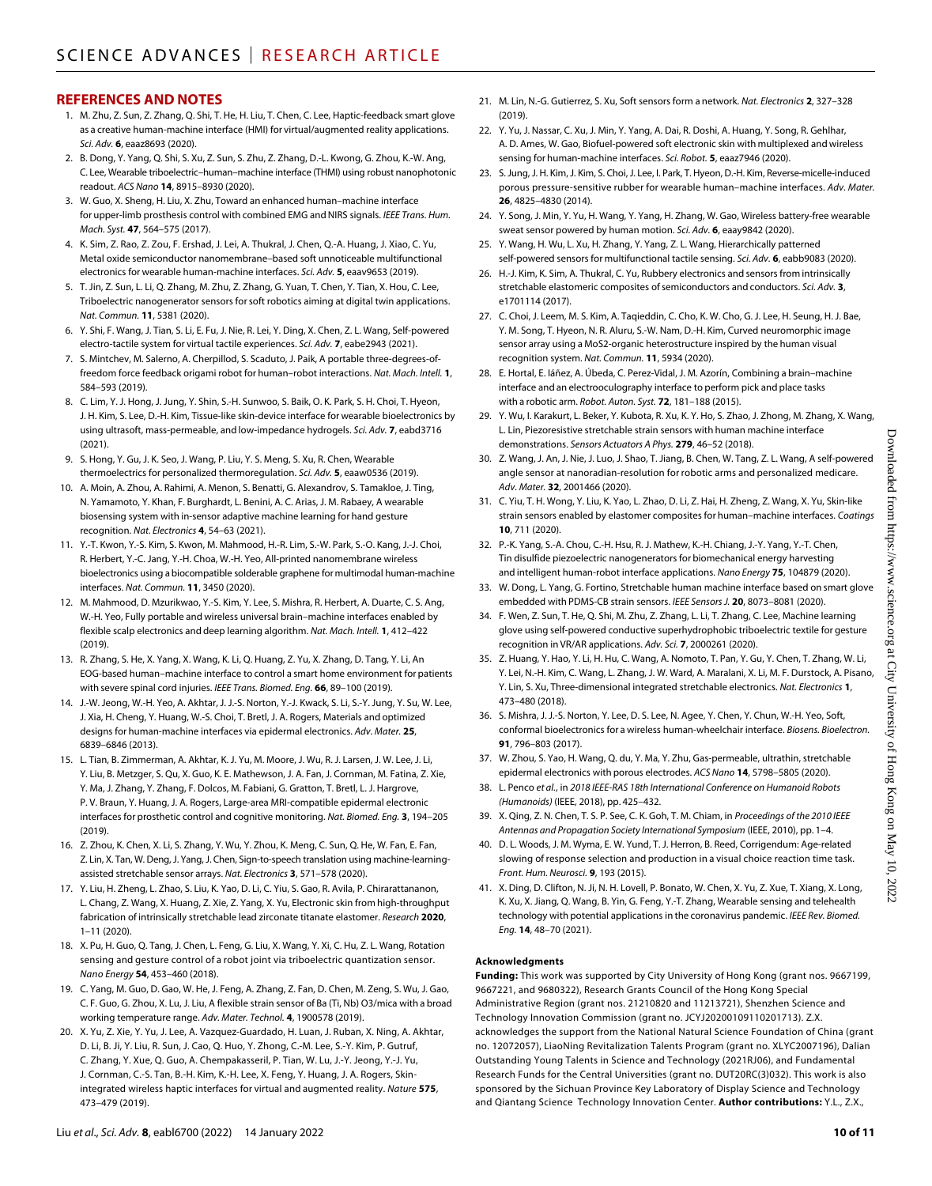#### **REFERENCES AND NOTES**

- 1. M. Zhu, Z. Sun, Z. Zhang, Q. Shi, T. He, H. Liu, T. Chen, C. Lee, Haptic-feedback smart glove as a creative human-machine interface (HMI) for virtual/augmented reality applications. *Sci. Adv.* **6**, eaaz8693 (2020).
- 2. B. Dong, Y. Yang, Q. Shi, S. Xu, Z. Sun, S. Zhu, Z. Zhang, D.-L. Kwong, G. Zhou, K.-W. Ang, C. Lee, Wearable triboelectric–human–machine interface (THMI) using robust nanophotonic readout. *ACS Nano* **14**, 8915–8930 (2020).
- 3. W. Guo, X. Sheng, H. Liu, X. Zhu, Toward an enhanced human–machine interface for upper-limb prosthesis control with combined EMG and NIRS signals. *IEEE Trans. Hum. Mach. Syst.* **47**, 564–575 (2017).
- 4. K. Sim, Z. Rao, Z. Zou, F. Ershad, J. Lei, A. Thukral, J. Chen, Q.-A. Huang, J. Xiao, C. Yu, Metal oxide semiconductor nanomembrane–based soft unnoticeable multifunctional electronics for wearable human-machine interfaces. *Sci. Adv.* **5**, eaav9653 (2019).
- 5. T. Jin, Z. Sun, L. Li, Q. Zhang, M. Zhu, Z. Zhang, G. Yuan, T. Chen, Y. Tian, X. Hou, C. Lee, Triboelectric nanogenerator sensors forsoft robotics aiming at digital twin applications. *Nat. Commun.* **11**, 5381 (2020).
- 6. Y. Shi, F. Wang, J. Tian, S. Li, E. Fu, J. Nie, R. Lei, Y. Ding, X. Chen, Z. L. Wang, Self-powered electro-tactile system for virtual tactile experiences. *Sci. Adv.* **7**, eabe2943 (2021).
- 7. S. Mintchev, M. Salerno, A. Cherpillod, S. Scaduto, J. Paik, A portable three-degrees-offreedom force feedback origami robot for human–robot interactions. *Nat. Mach. Intell.* **1**, 584–593 (2019).
- 8. C. Lim, Y. J. Hong, J. Jung, Y. Shin, S.-H. Sunwoo, S. Baik, O. K. Park, S. H. Choi, T. Hyeon, J. H. Kim, S. Lee, D.-H. Kim, Tissue-like skin-device interface for wearable bioelectronics by using ultrasoft, mass-permeable, and low-impedance hydrogels. *Sci. Adv.* **7**, eabd3716 (2021).
- 9. S. Hong, Y. Gu, J. K. Seo, J. Wang, P. Liu, Y. S. Meng, S. Xu, R. Chen, Wearable thermoelectrics for personalized thermoregulation. *Sci. Adv.* **5**, eaaw0536 (2019).
- 10. A. Moin, A. Zhou, A. Rahimi, A. Menon, S. Benatti, G. Alexandrov, S. Tamakloe, J. Ting, N. Yamamoto, Y. Khan, F. Burghardt, L. Benini, A. C. Arias, J. M. Rabaey, A wearable biosensing system with in-sensor adaptive machine learning for hand gesture recognition. *Nat. Electronics* **4**, 54–63 (2021).
- 11. Y.-T. Kwon, Y.-S. Kim, S. Kwon, M. Mahmood, H.-R. Lim, S.-W. Park, S.-O. Kang, J.-J. Choi, R. Herbert, Y.-C. Jang, Y.-H. Choa, W.-H. Yeo, All-printed nanomembrane wireless bioelectronics using a biocompatible solderable graphene for multimodal human-machine interfaces. *Nat. Commun.* **11**, 3450 (2020).
- 12. M. Mahmood, D. Mzurikwao, Y.-S. Kim, Y. Lee, S. Mishra, R. Herbert, A. Duarte, C. S. Ang, W.-H. Yeo, Fully portable and wireless universal brain–machine interfaces enabled by flexible scalp electronics and deep learning algorithm. *Nat. Mach. Intell.* **1**, 412–422 (2019).
- 13. R. Zhang, S. He, X. Yang, X. Wang, K. Li, Q. Huang, Z. Yu, X. Zhang, D. Tang, Y. Li, An EOG-based human–machine interface to control a smart home environment for patients with severe spinal cord injuries. *IEEE Trans. Biomed. Eng.* **66**, 89–100 (2019).
- 14. J.-W. Jeong, W.-H. Yeo, A. Akhtar, J. J.-S. Norton, Y.-J. Kwack, S. Li, S.-Y. Jung, Y. Su, W. Lee, J. Xia, H. Cheng, Y. Huang, W.-S. Choi, T. Bretl, J. A. Rogers, Materials and optimized designs for human-machine interfaces via epidermal electronics. *Adv. Mater.* **25**, 6839–6846 (2013).
- 15. L. Tian, B. Zimmerman, A. Akhtar, K. J. Yu, M. Moore, J. Wu, R. J. Larsen, J. W. Lee, J. Li, Y. Liu, B. Metzger, S. Qu, X. Guo, K. E. Mathewson, J. A. Fan, J. Cornman, M. Fatina, Z. Xie, Y. Ma, J. Zhang, Y. Zhang, F. Dolcos, M. Fabiani, G. Gratton, T. Bretl, L. J. Hargrove, P. V. Braun, Y. Huang, J. A. Rogers, Large-area MRI-compatible epidermal electronic interfaces for prosthetic control and cognitive monitoring. *Nat. Biomed. Eng.* **3**, 194–205 (2019).
- 16. Z. Zhou, K. Chen, X. Li, S. Zhang, Y. Wu, Y. Zhou, K. Meng, C. Sun, Q. He, W. Fan, E. Fan, Z. Lin, X. Tan, W. Deng, J. Yang, J. Chen, Sign-to-speech translation using machine-learningassisted stretchable sensor arrays. *Nat. Electronics* **3**, 571–578 (2020).
- 17. Y. Liu, H. Zheng, L. Zhao, S. Liu, K. Yao, D. Li, C. Yiu, S. Gao, R. Avila, P. Chirarattananon, L. Chang, Z. Wang, X. Huang, Z. Xie, Z. Yang, X. Yu, Electronic skin from high-throughput fabrication of intrinsically stretchable lead zirconate titanate elastomer. *Research* **2020**, 1–11 (2020).
- 18. X. Pu, H. Guo, Q. Tang, J. Chen, L. Feng, G. Liu, X. Wang, Y. Xi, C. Hu, Z. L. Wang, Rotation sensing and gesture control of a robot joint via triboelectric quantization sensor. *Nano Energy* **54**, 453–460 (2018).
- 19. C. Yang, M. Guo, D. Gao, W. He, J. Feng, A. Zhang, Z. Fan, D. Chen, M. Zeng, S. Wu, J. Gao, C. F. Guo, G. Zhou, X. Lu, J. Liu, A flexible strain sensor of Ba (Ti, Nb) O3/mica with a broad working temperature range. *Adv. Mater. Technol.* **4**, 1900578 (2019).
- 20. X. Yu, Z. Xie, Y. Yu, J. Lee, A. Vazquez-Guardado, H. Luan, J. Ruban, X. Ning, A. Akhtar, D. Li, B. Ji, Y. Liu, R. Sun, J. Cao, Q. Huo, Y. Zhong, C.-M. Lee, S.-Y. Kim, P. Gutruf, C. Zhang, Y. Xue, Q. Guo, A. Chempakasseril, P. Tian, W. Lu, J.-Y. Jeong, Y.-J. Yu, J. Cornman, C.-S. Tan, B.-H. Kim, K.-H. Lee, X. Feng, Y. Huang, J. A. Rogers, Skinintegrated wireless haptic interfaces for virtual and augmented reality. *Nature* **575**, 473–479 (2019).
- Liu *et al*., *Sci. Adv.* **8**, eabl6700 (2022) 14 January 2022
- 21. M. Lin, N.-G. Gutierrez, S. Xu, Soft sensors form a network. *Nat. Electronics* **2**, 327–328 (2019).
- 22. Y. Yu, J. Nassar, C. Xu, J. Min, Y. Yang, A. Dai, R. Doshi, A. Huang, Y. Song, R. Gehlhar, A. D. Ames, W. Gao, Biofuel-powered soft electronic skin with multiplexed and wireless sensing for human-machine interfaces. *Sci. Robot.* **5**, eaaz7946 (2020).
- 23. S.Jung, J. H. Kim, J. Kim, S. Choi, J. Lee, I. Park, T. Hyeon, D.-H. Kim, Reverse-micelle-induced porous pressure-sensitive rubber for wearable human–machine interfaces. *Adv. Mater.* **26**, 4825–4830 (2014).
- 24. Y. Song, J. Min, Y. Yu, H. Wang, Y. Yang, H. Zhang, W. Gao, Wireless battery-free wearable sweat sensor powered by human motion. *Sci. Adv.* **6**, eaay9842 (2020).
- 25. Y. Wang, H. Wu, L. Xu, H. Zhang, Y. Yang, Z. L. Wang, Hierarchically patterned self-powered sensors for multifunctional tactile sensing. *Sci. Adv.* **6**, eabb9083 (2020).
- 26. H.-J. Kim, K. Sim, A. Thukral, C. Yu, Rubbery electronics and sensors from intrinsically stretchable elastomeric composites ofsemiconductors and conductors. *Sci. Adv.* **3**, e1701114 (2017).
- 27. C. Choi, J. Leem, M. S. Kim, A. Taqieddin, C. Cho, K. W. Cho, G. J. Lee, H. Seung, H. J. Bae, Y. M. Song, T. Hyeon, N. R. Aluru, S.-W. Nam, D.-H. Kim, Curved neuromorphic image sensor array using a MoS2-organic heterostructure inspired by the human visual recognition system. *Nat. Commun.* **11**, 5934 (2020).
- 28. E. Hortal, E. Iáñez, A. Úbeda, C. Perez-Vidal, J. M. Azorín, Combining a brain–machine interface and an electrooculography interface to perform pick and place tasks with a robotic arm. *Robot. Auton. Syst.* **72**, 181–188 (2015).
- 29. Y. Wu, I. Karakurt, L. Beker, Y. Kubota, R. Xu, K. Y. Ho, S. Zhao, J. Zhong, M. Zhang, X. Wang, L. Lin, Piezoresistive stretchable strain sensors with human machine interface demonstrations. *Sensors Actuators A Phys.* **279**, 46–52 (2018).
- 30. Z. Wang, J. An, J. Nie, J. Luo, J. Shao, T. Jiang, B. Chen, W. Tang, Z. L. Wang, A self-powered angle sensor at nanoradian-resolution for robotic arms and personalized medicare. *Adv. Mater.* **32**, 2001466 (2020).
- 31. C. Yiu, T. H. Wong, Y. Liu, K. Yao, L. Zhao, D. Li, Z. Hai, H. Zheng, Z. Wang, X. Yu, Skin-like strain sensors enabled by elastomer composites for human–machine interfaces. *Coatings* **10**, 711 (2020).
- 32. P.-K. Yang, S.-A. Chou, C.-H. Hsu, R. J. Mathew, K.-H. Chiang, J.-Y. Yang, Y.-T. Chen, Tin disulfide piezoelectric nanogenerators for biomechanical energy harvesting and intelligent human-robot interface applications. *Nano Energy* **75**, 104879 (2020).
- 33. W. Dong, L. Yang, G. Fortino, Stretchable human machine interface based on smart glove embedded with PDMS-CB strain sensors. *IEEE Sensors J.* **20**, 8073–8081 (2020).
- 34. F. Wen, Z. Sun, T. He, Q. Shi, M. Zhu, Z. Zhang, L. Li, T. Zhang, C. Lee, Machine learning glove using self-powered conductive superhydrophobic triboelectric textile for gesture recognition in VR/AR applications. *Adv. Sci.* **7**, 2000261 (2020).
- 35. Z. Huang, Y. Hao, Y. Li, H. Hu, C. Wang, A. Nomoto, T. Pan, Y. Gu, Y. Chen, T. Zhang, W. Li, Y. Lei, N.-H. Kim, C. Wang, L. Zhang, J. W. Ward, A. Maralani, X. Li, M. F. Durstock, A. Pisano, Y. Lin, S. Xu, Three-dimensional integrated stretchable electronics. *Nat. Electronics* **1**, 473–480 (2018).
- 36. S. Mishra, J. J.-S. Norton, Y. Lee, D. S. Lee, N. Agee, Y. Chen, Y. Chun, W.-H. Yeo, Soft, conformal bioelectronics for a wireless human-wheelchair interface. *Biosens. Bioelectron.* **91**, 796–803 (2017).
- 37. W. Zhou, S. Yao, H. Wang, Q. du, Y. Ma, Y. Zhu, Gas-permeable, ultrathin, stretchable epidermal electronics with porous electrodes. *ACS Nano* **14**, 5798–5805 (2020).
- 38. L. Penco *et al.*, in *2018 IEEE-RAS 18th International Conference on Humanoid Robots (Humanoids)* (IEEE, 2018), pp. 425–432.
- 39. X. Qing, Z. N. Chen, T. S. P. See, C. K. Goh, T. M. Chiam, in *Proceedings of the 2010 IEEE Antennas and Propagation Society International Symposium* (IEEE, 2010), pp. 1–4.
- 40. D. L. Woods, J. M. Wyma, E. W. Yund, T. J. Herron, B. Reed, Corrigendum: Age-related slowing of response selection and production in a visual choice reaction time task. *Front. Hum. Neurosci.* **9**, 193 (2015).
- 41. X. Ding, D. Clifton, N. Ji, N. H. Lovell, P. Bonato, W. Chen, X. Yu, Z. Xue, T. Xiang, X. Long, K. Xu, X. Jiang, Q. Wang, B. Yin, G. Feng, Y.-T. Zhang, Wearable sensing and telehealth technology with potential applications in the coronavirus pandemic. *IEEE Rev. Biomed. Eng.* **14**, 48–70 (2021).

#### **Acknowledgments**

**Funding:** This work was supported by City University of Hong Kong (grant nos. 9667199, 9667221, and 9680322), Research Grants Council of the Hong Kong Special Administrative Region (grant nos. 21210820 and 11213721), Shenzhen Science and Technology Innovation Commission (grant no. JCYJ20200109110201713). Z.X. acknowledges the support from the National Natural Science Foundation of China (grant no. 12072057), LiaoNing Revitalization Talents Program (grant no. XLYC2007196), Dalian Outstanding Young Talents in Science and Technology (2021RJ06), and Fundamental Research Funds for the Central Universities (grant no. DUT20RC(3)032). This work is also sponsored by the Sichuan Province Key Laboratory of Display Science and Technology and Qiantang Science Technology Innovation Center. **Author contributions:** Y.L., Z.X.,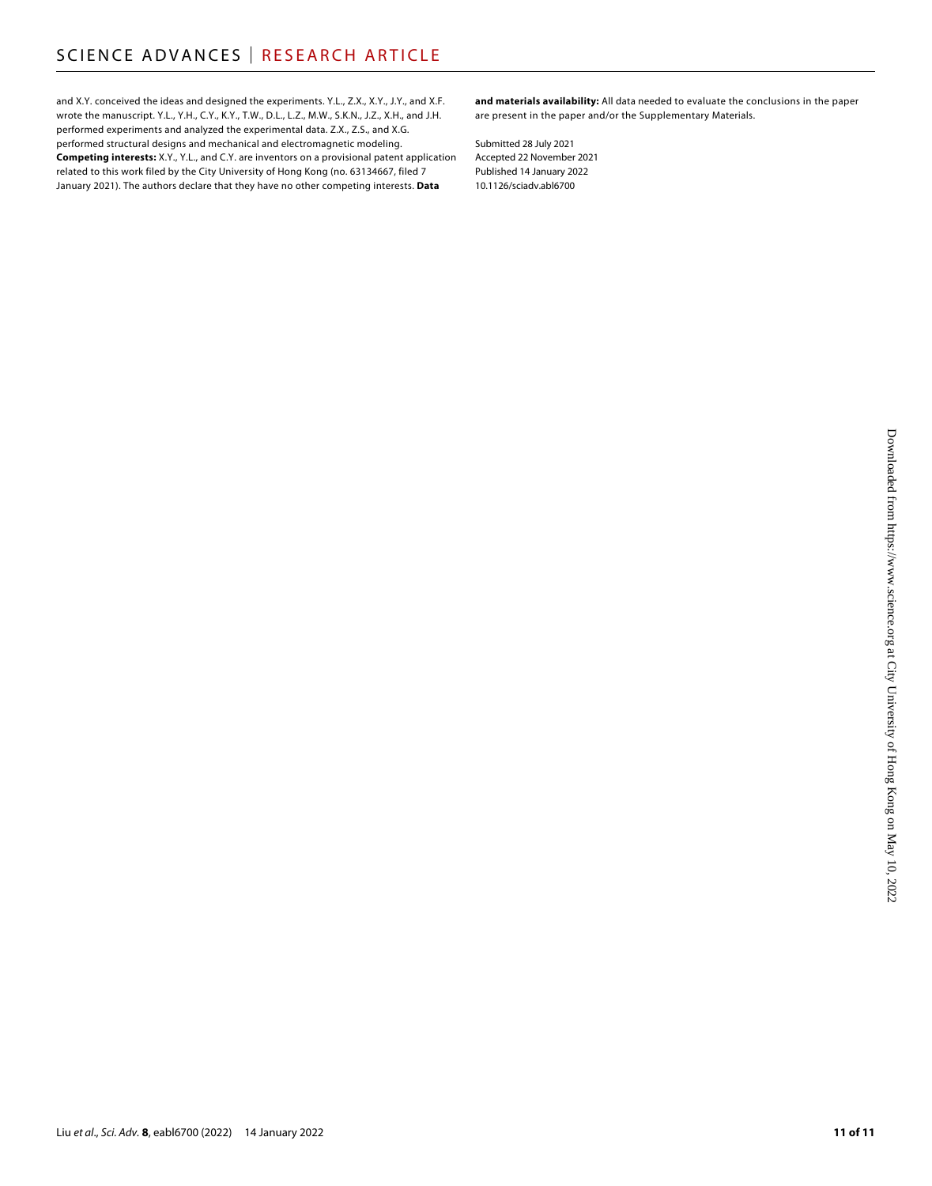and X.Y. conceived the ideas and designed the experiments. Y.L., Z.X., X.Y., J.Y., and X.F. wrote the manuscript. Y.L., Y.H., C.Y., K.Y., T.W., D.L., L.Z., M.W., S.K.N., J.Z., X.H., and J.H. performed experiments and analyzed the experimental data. Z.X., Z.S., and X.G. performed structural designs and mechanical and electromagnetic modeling. **Competing interests:** X.Y., Y.L., and C.Y. are inventors on a provisional patent application related to this work filed by the City University of Hong Kong (no. 63134667, filed 7 January 2021). The authors declare that they have no other competing interests. **Data** 

**and materials availability:** All data needed to evaluate the conclusions in the paper are present in the paper and/or the Supplementary Materials.

Submitted 28 July 2021 Accepted 22 November 2021 Published 14 January 2022 10.1126/sciadv.abl6700